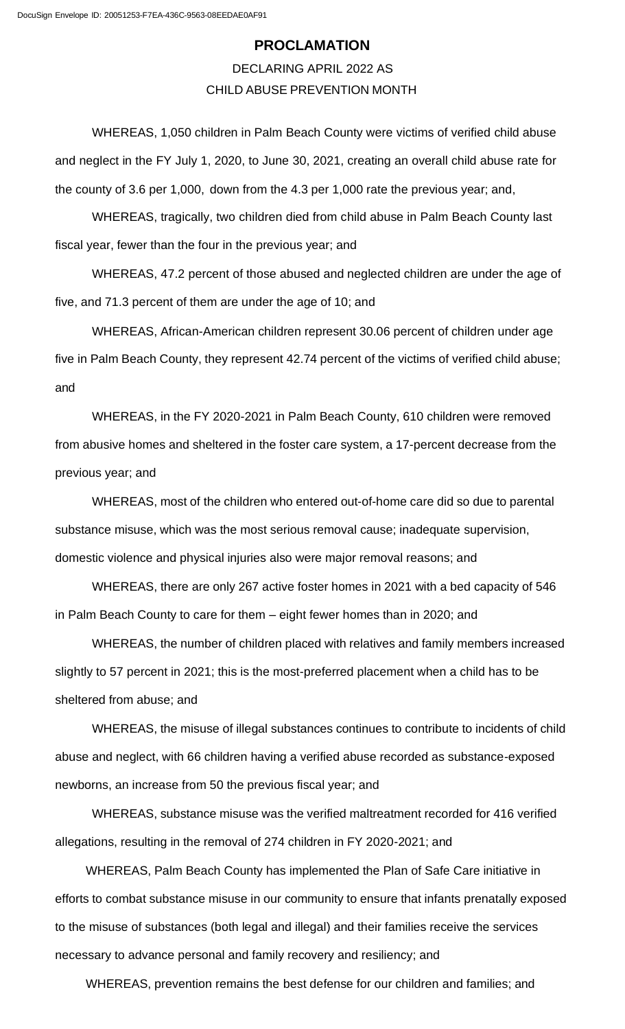## **PROCLAMATION**

DECLARING APRIL 2022 AS CHILD ABUSE PREVENTION MONTH

WHEREAS, 1,050 children in Palm Beach County were victims of verified child abuse and neglect in the FY July 1, 2020, to June 30, 2021, creating an overall child abuse rate for the county of 3.6 per 1,000, down from the 4.3 per 1,000 rate the previous year; and,

WHEREAS, tragically, two children died from child abuse in Palm Beach County last fiscal year, fewer than the four in the previous year; and

WHEREAS, 47.2 percent of those abused and neglected children are under the age of five, and 71.3 percent of them are under the age of 10; and

WHEREAS, African-American children represent 30.06 percent of children under age five in Palm Beach County, they represent 42.74 percent of the victims of verified child abuse; and

WHEREAS, in the FY 2020-2021 in Palm Beach County, 610 children were removed from abusive homes and sheltered in the foster care system, a 17-percent decrease from the previous year; and

WHEREAS, most of the children who entered out-of-home care did so due to parental substance misuse, which was the most serious removal cause; inadequate supervision, domestic violence and physical injuries also were major removal reasons; and

WHEREAS, there are only 267 active foster homes in 2021 with a bed capacity of 546 in Palm Beach County to care for them – eight fewer homes than in 2020; and

WHEREAS, the number of children placed with relatives and family members increased slightly to 57 percent in 2021; this is the most-preferred placement when a child has to be sheltered from abuse; and

WHEREAS, the misuse of illegal substances continues to contribute to incidents of child abuse and neglect, with 66 children having a verified abuse recorded as substance-exposed newborns, an increase from 50 the previous fiscal year; and

WHEREAS, substance misuse was the verified maltreatment recorded for 416 verified allegations, resulting in the removal of 274 children in FY 2020-2021; and

WHEREAS, Palm Beach County has implemented the Plan of Safe Care initiative in efforts to combat substance misuse in our community to ensure that infants prenatally exposed to the misuse of substances (both legal and illegal) and their families receive the services necessary to advance personal and family recovery and resiliency; and

WHEREAS, prevention remains the best defense for our children and families; and